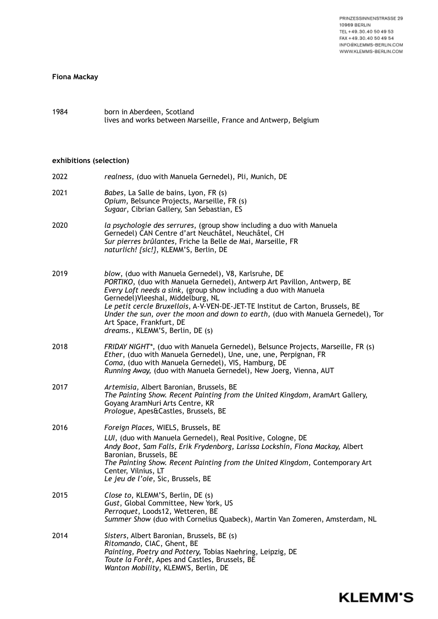PRINZESSINNENSTRASSE 29 10969 BERLIN TEL +49.30.40 50 49 53 FAX +49.30.40 50 49 54 INFO@KLEMMS-BERLIN.COM WWW.KLEMMS-BERLIN.COM

**KLEMM'S** 

## **Fiona Mackay**

## 1984 born in Aberdeen, Scotland lives and works between Marseille, France and Antwerp, Belgium

## **exhibitions (selection)**

| 2022 | realness, (duo with Manuela Gernedel), Pli, Munich, DE                                                                                                                                                                                                                                                                                                                                                                                                                           |
|------|----------------------------------------------------------------------------------------------------------------------------------------------------------------------------------------------------------------------------------------------------------------------------------------------------------------------------------------------------------------------------------------------------------------------------------------------------------------------------------|
| 2021 | Babes, La Salle de bains, Lyon, FR (s)<br>Opium, Belsunce Projects, Marseille, FR (s)<br>Sugaar, Cibrian Gallery, San Sebastian, ES                                                                                                                                                                                                                                                                                                                                              |
| 2020 | la psychologie des serrures, (group show including a duo with Manuela<br>Gernedel) CAN Centre d'art Neuchâtel, Neuchâtel, CH<br>Sur pierres brûlantes, Friche la Belle de Mai, Marseille, FR<br>naturlich! {sic!}, KLEMM'S, Berlin, DE                                                                                                                                                                                                                                           |
| 2019 | blow, (duo with Manuela Gernedel), V8, Karlsruhe, DE<br>PORTIKO, (duo with Manuela Gernedel), Antwerp Art Pavillon, Antwerp, BE<br>Every Loft needs a sink, (group show including a duo with Manuela<br>Gernedel) Vleeshal, Middelburg, NL<br>Le petit cercle Bruxellois, A-V-VEN-DE-JET-TE Institut de Carton, Brussels, BE<br>Under the sun, over the moon and down to earth, (duo with Manuela Gernedel), Tor<br>Art Space, Frankfurt, DE<br>dreams., KLEMM'S, Berlin, DE (s) |
| 2018 | FRIDAY NIGHT*, (duo with Manuela Gernedel), Belsunce Projects, Marseille, FR (s)<br>Ether, (duo with Manuela Gernedel), Une, une, une, Perpignan, FR<br>Coma, (duo with Manuela Gernedel), VIS, Hamburg, DE<br>Running Away, (duo with Manuela Gernedel), New Joerg, Vienna, AUT                                                                                                                                                                                                 |
| 2017 | Artemisia, Albert Baronian, Brussels, BE<br>The Painting Show. Recent Painting from the United Kingdom, AramArt Gallery,<br>Goyang AramNuri Arts Centre, KR<br>Prologue, Apes&Castles, Brussels, BE                                                                                                                                                                                                                                                                              |
| 2016 | Foreign Places, WIELS, Brussels, BE<br>LUI, (duo with Manuela Gernedel), Real Positive, Cologne, DE<br>Andy Boot, Sam Falls, Erik Frydenborg, Larissa Lockshin, Fiona Mackay, Albert<br>Baronian, Brussels, BE<br>The Painting Show. Recent Painting from the United Kingdom, Contemporary Art<br>Center, Vilnius, LT<br>Le jeu de l'oie, Sic, Brussels, BE                                                                                                                      |
| 2015 | Close to, KLEMM'S, Berlin, DE (s)<br>Gust, Global Committee, New York, US<br>Perroquet, Loods12, Wetteren, BE<br>Summer Show (duo with Cornelius Quabeck), Martin Van Zomeren, Amsterdam, NL                                                                                                                                                                                                                                                                                     |
| 2014 | Sisters, Albert Baronian, Brussels, BE (s)<br>Ritomando, CIAC, Ghent, BE<br>Painting, Poetry and Pottery, Tobias Naehring, Leipzig, DE<br>Toute la Forêt, Apes and Castles, Brussels, BE<br>Wanton Mobility, KLEMM'S, Berlin, DE                                                                                                                                                                                                                                                 |